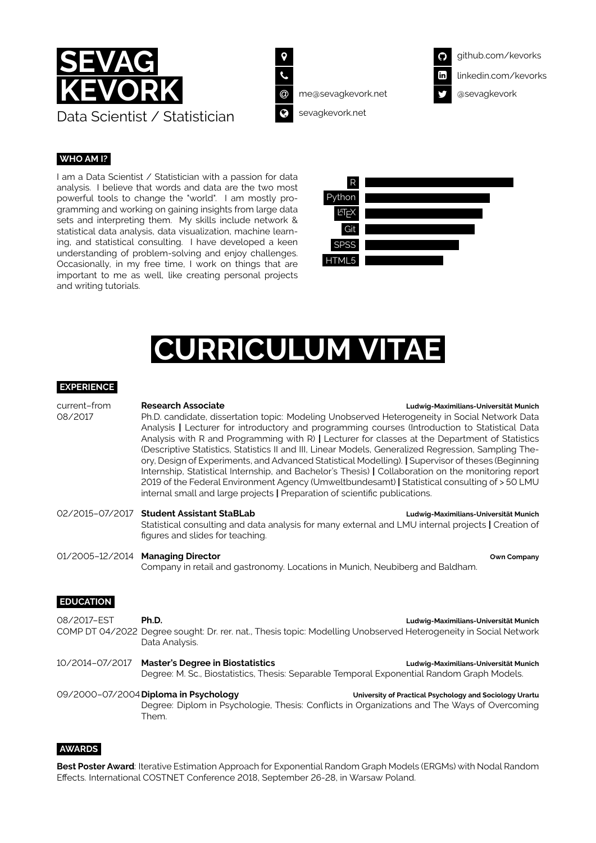



@ [me@sevagkevork.net](mailto:me@sevagkevork.net)



[sevagkevork.net](https://www.sevagkevork.net)

# **WHO AM I?**

I am a Data Scientist / Statistician with a passion for data analysis. I believe that words and data are the two most powerful tools to change the "world". I am mostly programming and working on gaining insights from large data sets and interpreting them. My skills include network & statistical data analysis, data visualization, machine learning, and statistical consulting. I have developed a keen understanding of problem-solving and enjoy challenges. Occasionally, in my free time, I work on things that are important to me as well, like creating personal projects and writing tutorials.



# **JRRICULUM VI**

# **EXPERIENCE**

| current-from<br>08/2017 | <b>Research Associate</b><br>Ludwig-Maximilians-Universität Munich<br>Ph.D. candidate, dissertation topic: Modeling Unobserved Heterogeneity in Social Network Data<br>Analysis   Lecturer for introductory and programming courses (Introduction to Statistical Data<br>Analysis with R and Programming with R)   Lecturer for classes at the Department of Statistics<br>(Descriptive Statistics, Statistics II and III, Linear Models, Generalized Regression, Sampling The-<br>ory, Design of Experiments, and Advanced Statistical Modelling).   Supervisor of theses (Beginning<br>Internship, Statistical Internship, and Bachelor's Thesis)   Collaboration on the monitoring report<br>2019 of the Federal Environment Agency (Umweltbundesamt)   Statistical consulting of > 50 LMU<br>internal small and large projects   Preparation of scientific publications. |                                                         |
|-------------------------|------------------------------------------------------------------------------------------------------------------------------------------------------------------------------------------------------------------------------------------------------------------------------------------------------------------------------------------------------------------------------------------------------------------------------------------------------------------------------------------------------------------------------------------------------------------------------------------------------------------------------------------------------------------------------------------------------------------------------------------------------------------------------------------------------------------------------------------------------------------------------|---------------------------------------------------------|
| 02/2015-07/2017         | <b>Student Assistant StaBLab</b><br>Statistical consulting and data analysis for many external and LMU internal projects   Creation of<br>figures and slides for teaching.                                                                                                                                                                                                                                                                                                                                                                                                                                                                                                                                                                                                                                                                                                   | Ludwig-Maximilians-Universität Munich                   |
| 01/2005-12/2014         | <b>Managing Director</b><br>Company in retail and gastronomy. Locations in Munich, Neubiberg and Baldham.                                                                                                                                                                                                                                                                                                                                                                                                                                                                                                                                                                                                                                                                                                                                                                    | Own Company                                             |
| <b>EDUCATION</b>        |                                                                                                                                                                                                                                                                                                                                                                                                                                                                                                                                                                                                                                                                                                                                                                                                                                                                              |                                                         |
| 08/2017-EST             | Ph.D.<br>COMP DT 04/2022 Degree sought: Dr. rer. nat., Thesis topic: Modelling Unobserved Heterogeneity in Social Network<br>Data Analysis.                                                                                                                                                                                                                                                                                                                                                                                                                                                                                                                                                                                                                                                                                                                                  | Ludwig-Maximilians-Universität Munich                   |
| 10/2014-07/2017         | <b>Master's Degree in Biostatistics</b><br>Degree: M. Sc., Biostatistics, Thesis: Separable Temporal Exponential Random Graph Models.                                                                                                                                                                                                                                                                                                                                                                                                                                                                                                                                                                                                                                                                                                                                        | Ludwig-Maximilians-Universität Munich                   |
|                         | 09/2000-07/2004 Diploma in Psychology<br>Degree: Diplom in Psychologie, Thesis: Conflicts in Organizations and The Ways of Overcoming<br>Them.                                                                                                                                                                                                                                                                                                                                                                                                                                                                                                                                                                                                                                                                                                                               | University of Practical Psychology and Sociology Urartu |

#### **AWARDS**

**Best Poster Award**: Iterative Estimation Approach for Exponential Random Graph Models (ERGMs) with Nodal Random Effects. International [COSTNET](http://costnet18.wzim.sggw.pl) Conference 2018, September 26-28, in Warsaw Poland.